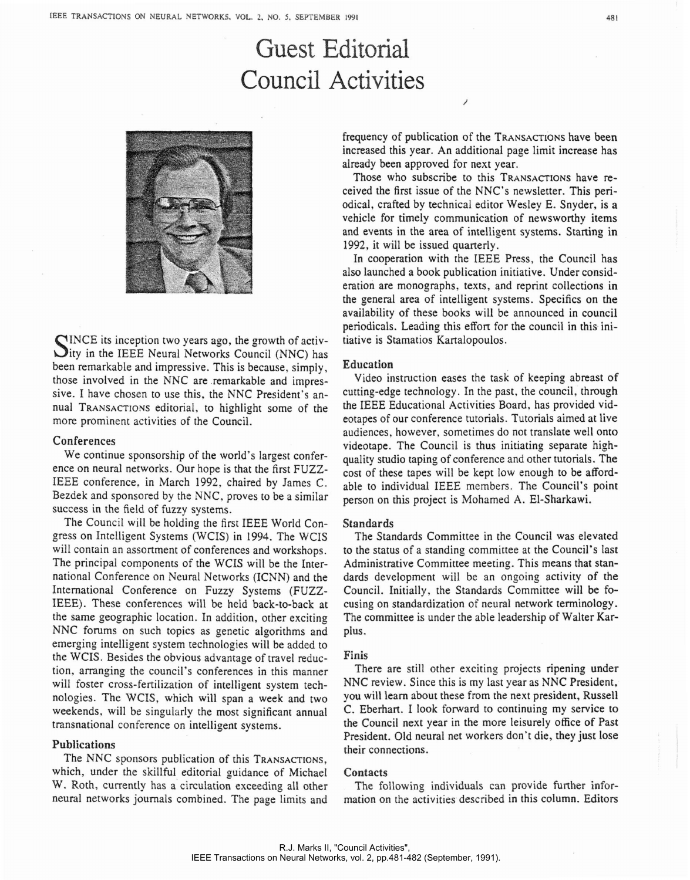# Guest Editorial Council Activities



SINCE its inception two years ago, the growth of activity in the IEEE Neural Networks Council (NNC) has been remarkable and impressive. This is because, simply, those involved in the NNC are remarkable and impressive. I have chosen to use this, the NNC President's annual TRANSACTIONS editorial, to highlight some of the more prominent activities of the Council.

#### Conferences

We continue sponsorship of the world's largest conference on neural networks. Our hope is that the first FUZZ-IEEE conference. in March 1992, chaired by James C. Bezdek and sponsored by the NNC, proves to be a similar success in the field of fuzzy systems.

The Council will be holding the first IEEE World Congress on Intelligent Systems (WCIS) in 1994. The WCIS will contain an assortment of conferences and workshops. The principal components of the WCIS will be the International Conference on Neural Networks (ICNN) and the International Conference on Fuzzy Systems (FUZZ-IEEE). These conferences will be held back-to-back at the same geographic location. In addition, other exciting NNC forums on such topics as genetic algorithms and emerging intelligent system technologies will be added to the WCIS. Besides the obvious advantage of travel reduction, arranging the council's conferences in this manner will foster cross-fertilization of intelligent system technologies. The WCIS, which will span a week and two weekends, will be singularly the most significant annual transnational conference on intelligent systems.

## Publications

The NNC sponsors publication of this TRANSACTIONS, which, under the skillful editorial guidance of Michael W. Roth, currently has a circulation exceeding all other neural networks journals combined. The page limits and frequency of publication of the TRANSACTIONS have been increased this year. An additional page limit increase has already been approved for next year.

Those who subscribe to this TRANSACTIONS have received the first issue of the NNC's newsletter. This periodical, crafted by technical editor Wesley E. Snyder, is a vehicle for timely communication of newsworthy items and events in the area of intelligent systems. Starting in 1992, it will be issued quarterly.

In cooperation with the IEEE Press, the Council has also launched a book publication initiative. Under consideration are monographs, texts, and reprint collections in the general area of intelligent systems. Specifics on the availability of these books will be announced in council periodicals. Leading this effort for the council in this initiative is Stamatios Kartalopoulos.

#### Education

Video instmction eases the task of keeping abreast of cutting-edge technology. In the past, the council, through the IEEE Educational Activities Board, has provided videotapes of our conference tutorials. Tutorials aimed at live audiences, however, sometimes do not translate well onto videotape. The CounciI is thus initiating separate highquality studio taping of conference and other tutorials. The cost of these tapes will be kept low enough to be affordable to individual IEEE members. The Council's point person on this project is Mohamed A. El-Sharkawi.

### Standards

The Standards Committee in the Council was elevated to the status of a standing committee at the Council's last Administrative Committee meeting. This means that standards development will be an ongoing activity of the Council. Initially, the Standards Committee will be focusing on standardization of neural network terminology. The committee is under the able leadership of Walter Karplus.

## Finis

There are still other exciting projects ripening under NNC review. Since this is my last year as NNC President, you will learn about these from the next president, Russell C, Eberhan. I look forward to continuing my service to the Council next year in the more leisurely office of Past President. Old neural net workers don't die, they just lose their connections.

## Contacts

The following individuals can provide further information on the activities described in this column. Editors